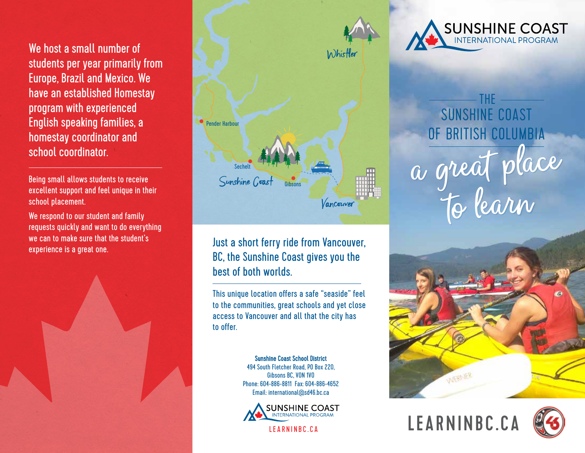We host a small number of students per year primarily from Europe, Brazil and Mexico. We have an established Homestay program with experienced English speaking families, a homestay coordinator and school coordinator.

Being small allows students to receive excellent support and feel unique in their school placement.

We respond to our student and family requests quickly and want to do everything we can to make sure that the student's experience is a great one.





Just a short ferry ride from Vancouver, BC, the Sunshine Coast gives you the best of both worlds.

This unique location offers a safe "seaside" feel to the communities, great schools and yet close access to Vancouver and all that the city has to offer.

> Sunshine Coast School District 494 South Fletcher Road, PO Box 220, Gibsons BC, V0N 1V0 Phone: 604-886-8811 Fax: 604-886-4652 Email: international@sd46.bc.ca



LEARNINBC.CA



THE SUNSHINE COAST OF BRITISH COLUMBIA to learn